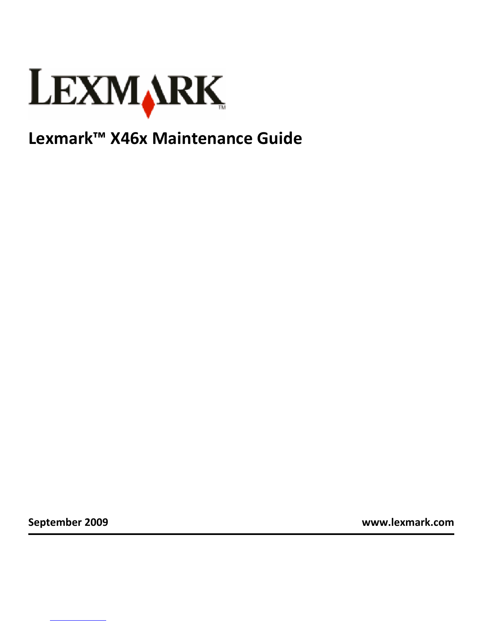

## **Lexmark™ X46x Maintenance Guide**

**September 2009 www.lexmark.com**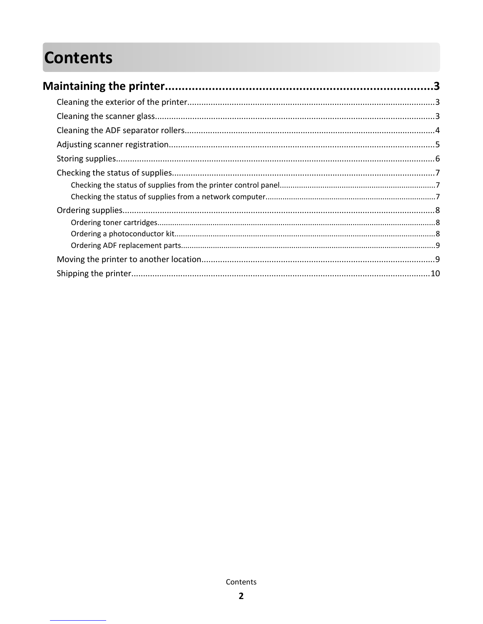# **Contents**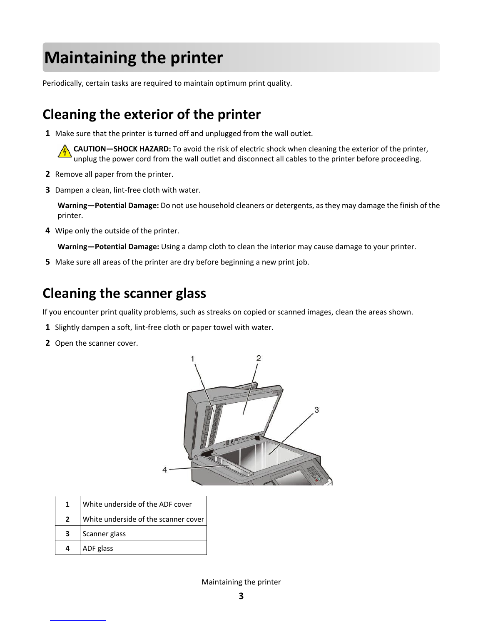# **Maintaining the printer**

Periodically, certain tasks are required to maintain optimum print quality.

### **Cleaning the exterior of the printer**

**1** Make sure that the printer is turned off and unplugged from the wall outlet.

**CAUTION—SHOCK HAZARD:** To avoid the risk of electric shock when cleaning the exterior of the printer, unplug the power cord from the wall outlet and disconnect all cables to the printer before proceeding.

- **2** Remove all paper from the printer.
- **3** Dampen a clean, lint-free cloth with water.

**Warning—Potential Damage:** Do not use household cleaners or detergents, as they may damage the finish of the printer.

**4** Wipe only the outside of the printer.

**Warning—Potential Damage:** Using a damp cloth to clean the interior may cause damage to your printer.

**5** Make sure all areas of the printer are dry before beginning a new print job.

### **Cleaning the scanner glass**

If you encounter print quality problems, such as streaks on copied or scanned images, clean the areas shown.

- **1** Slightly dampen a soft, lint-free cloth or paper towel with water.
- **2** Open the scanner cover.



|   | White underside of the ADF cover     |
|---|--------------------------------------|
| 2 | White underside of the scanner cover |
| 3 | Scanner glass                        |
| 4 | ADF glass                            |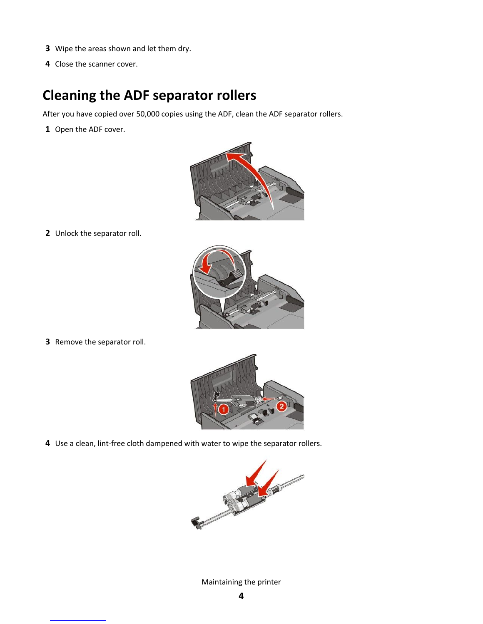- Wipe the areas shown and let them dry.
- Close the scanner cover.

### **Cleaning the ADF separator rollers**

After you have copied over 50,000 copies using the ADF, clean the ADF separator rollers.

Open the ADF cover.



Unlock the separator roll.



Remove the separator roll.



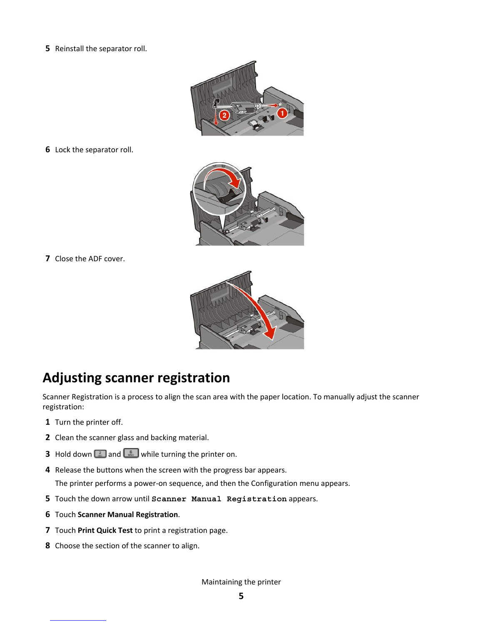Reinstall the separator roll.



Lock the separator roll.



Close the ADF cover.



### **Adjusting scanner registration**

Scanner Registration is a process to align the scan area with the paper location. To manually adjust the scanner registration:

- Turn the printer off.
- Clean the scanner glass and backing material.
- **3** Hold down  $\begin{array}{|c|c|c|c|}\n\hline\n3 & \text{and} & \hline\n\end{array}$  while turning the printer on.
- Release the buttons when the screen with the progress bar appears. The printer performs a power-on sequence, and then the Configuration menu appears.
- Touch the down arrow until **Scanner Manual Registration** appears.
- Touch **Scanner Manual Registration**.
- Touch **Print Quick Test** to print a registration page.
- Choose the section of the scanner to align.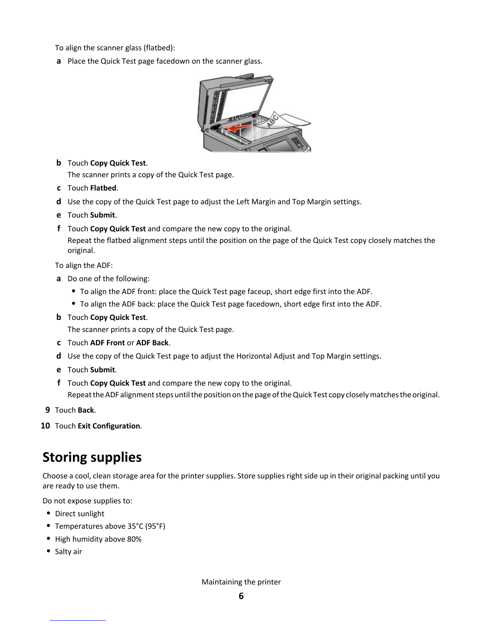To align the scanner glass (flatbed):

**a** Place the Quick Test page facedown on the scanner glass.



**b** Touch **Copy Quick Test**.

The scanner prints a copy of the Quick Test page.

- **c** Touch **Flatbed**.
- **d** Use the copy of the Quick Test page to adjust the Left Margin and Top Margin settings.
- **e** Touch **Submit**.
- **f** Touch **Copy Quick Test** and compare the new copy to the original.

Repeat the flatbed alignment steps until the position on the page of the Quick Test copy closely matches the original.

To align the ADF:

- **a** Do one of the following:
	- **•** To align the ADF front: place the Quick Test page faceup, short edge first into the ADF.
	- **•** To align the ADF back: place the Quick Test page facedown, short edge first into the ADF.
- **b** Touch **Copy Quick Test**.

The scanner prints a copy of the Quick Test page.

- **c** Touch **ADF Front** or **ADF Back**.
- **d** Use the copy of the Quick Test page to adjust the Horizontal Adjust and Top Margin settings.
- **e** Touch **Submit**.
- **f** Touch **Copy Quick Test** and compare the new copy to the original. Repeat the ADF alignment steps until the position on the page of the Quick Test copy closely matches the original.
- **9** Touch **Back**.
- **10** Touch **Exit Configuration**.

### **Storing supplies**

Choose a cool, clean storage area for the printer supplies. Store supplies right side up in their original packing until you are ready to use them.

Do not expose supplies to:

- **•** Direct sunlight
- **•** Temperatures above 35°C (95°F)
- **•** High humidity above 80%
- **•** Salty air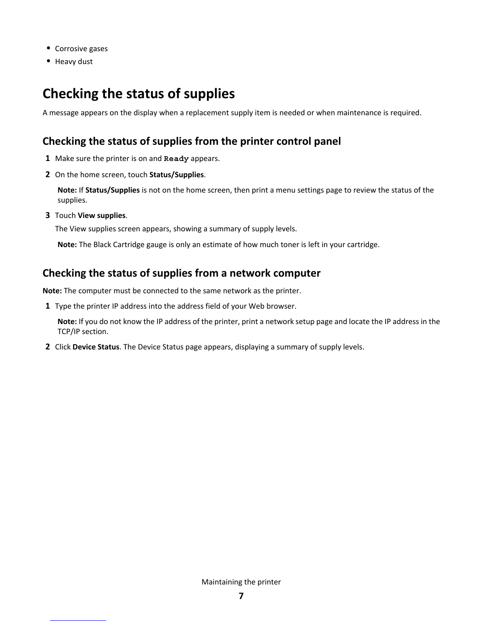- **•** Corrosive gases
- **•** Heavy dust

### **Checking the status of supplies**

A message appears on the display when a replacement supply item is needed or when maintenance is required.

#### **Checking the status of supplies from the printer control panel**

- **1** Make sure the printer is on and **Ready** appears.
- **2** On the home screen, touch **Status/Supplies**.

**Note:** If **Status/Supplies** is not on the home screen, then print a menu settings page to review the status of the supplies.

**3** Touch **View supplies**.

The View supplies screen appears, showing a summary of supply levels.

**Note:** The Black Cartridge gauge is only an estimate of how much toner is left in your cartridge.

#### **Checking the status of supplies from a network computer**

**Note:** The computer must be connected to the same network as the printer.

**1** Type the printer IP address into the address field of your Web browser.

**Note:** If you do not know the IP address of the printer, print a network setup page and locate the IP address in the TCP/IP section.

**2** Click **Device Status**. The Device Status page appears, displaying a summary of supply levels.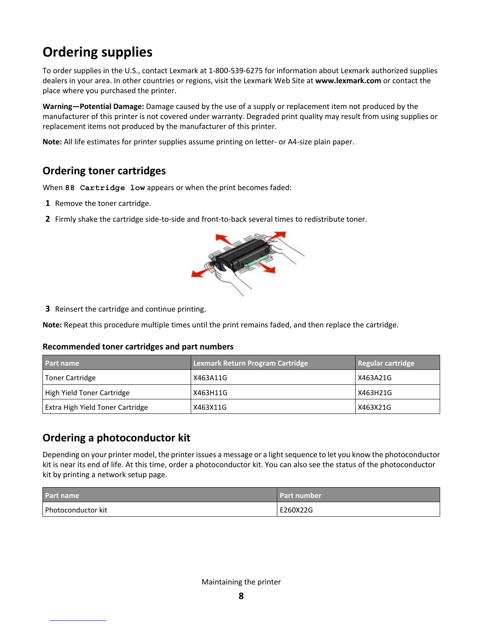## **Ordering supplies**

To order supplies in the U.S., contact Lexmark at 1-800-539-6275 for information about Lexmark authorized supplies dealers in your area. In other countries or regions, visit the Lexmark Web Site at **www.lexmark.com** or contact the place where you purchased the printer.

**Warning—Potential Damage:** Damage caused by the use of a supply or replacement item not produced by the manufacturer of this printer is not covered under warranty. Degraded print quality may result from using supplies or replacement items not produced by the manufacturer of this printer.

**Note:** All life estimates for printer supplies assume printing on letter- or A4-size plain paper.

### **Ordering toner cartridges**

When **88 Cartridge low** appears or when the print becomes faded:

- **1** Remove the toner cartridge.
- **2** Firmly shake the cartridge side-to-side and front-to-back several times to redistribute toner.



**3** Reinsert the cartridge and continue printing.

**Note:** Repeat this procedure multiple times until the print remains faded, and then replace the cartridge.

#### **Recommended toner cartridges and part numbers**

| <b>Part name</b>                        | <b>Lexmark Return Program Cartridge</b> | Regular cartridge |
|-----------------------------------------|-----------------------------------------|-------------------|
| Toner Cartridge                         | X463A11G                                | X463A21G          |
| High Yield Toner Cartridge              | X463H11G                                | X463H21G          |
| <b>Extra High Yield Toner Cartridge</b> | X463X11G                                | X463X21G          |

### **Ordering a photoconductor kit**

Depending on your printer model, the printer issues a message or a light sequence to let you know the photoconductor kit is near its end of life. At this time, order a photoconductor kit. You can also see the status of the photoconductor kit by printing a network setup page.

| <b>Part name</b>   | <b>Part number</b> |
|--------------------|--------------------|
| Photoconductor kit | E260X22G           |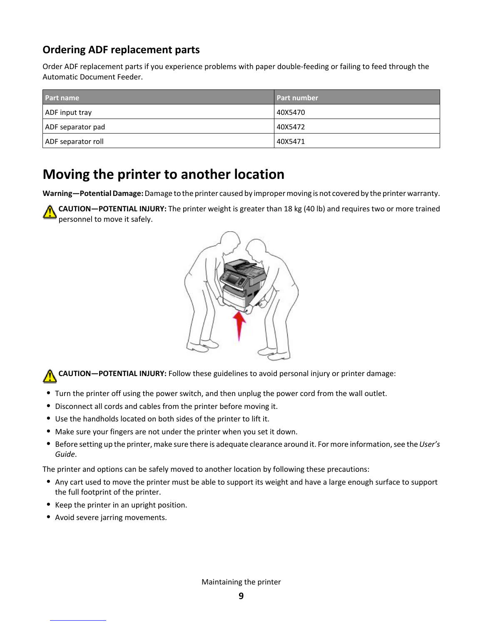### **Ordering ADF replacement parts**

Order ADF replacement parts if you experience problems with paper double-feeding or failing to feed through the Automatic Document Feeder.

| <b>Part name</b>   | <b>Part number</b> |
|--------------------|--------------------|
| ADF input tray     | 40X5470            |
| ADF separator pad  | 40X5472            |
| ADF separator roll | 40X5471            |

### **Moving the printer to another location**

**Warning—Potential Damage:** Damage to the printer caused by improper moving is not covered by the printer warranty.

**CAUTION—POTENTIAL INJURY:** The printer weight is greater than 18 kg (40 lb) and requires two or more trained personnel to move it safely.



**CAUTION—POTENTIAL INJURY:** Follow these guidelines to avoid personal injury or printer damage:

- **•** Turn the printer off using the power switch, and then unplug the power cord from the wall outlet.
- **•** Disconnect all cords and cables from the printer before moving it.
- **•** Use the handholds located on both sides of the printer to lift it.
- **•** Make sure your fingers are not under the printer when you set it down.
- **•** Before setting up the printer, make sure there is adequate clearance around it. For more information, see the *User's Guide*.

The printer and options can be safely moved to another location by following these precautions:

- **•** Any cart used to move the printer must be able to support its weight and have a large enough surface to support the full footprint of the printer.
- **•** Keep the printer in an upright position.
- **•** Avoid severe jarring movements.